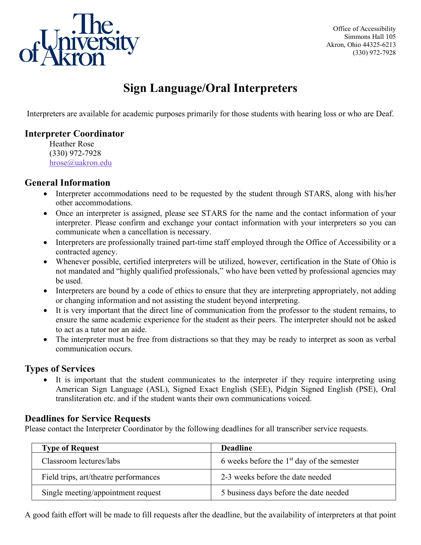

Office of Accessibility Simmons Hall 105 Akron, Ohio 44325-6213 (330) 972-7928

# **Sign Language/Oral Interpreters**

Interpreters are available for academic purposes primarily for those students with hearing loss or who are Deaf.

# **Interpreter Coordinator**

Heather Rose (330) 972-7928 [hrose@uakron.edu](mailto:hrose@uakron.edu)

## **General Information**

- Interpreter accommodations need to be requested by the student through STARS, along with his/her other accommodations.
- Once an interpreter is assigned, please see STARS for the name and the contact information of your interpreter. Please confirm and exchange your contact information with your interpreters so you can communicate when a cancellation is necessary.
- Interpreters are professionally trained part-time staff employed through the Office of Accessibility or a contracted agency.
- Whenever possible, certified interpreters will be utilized, however, certification in the State of Ohio is not mandated and "highly qualified professionals," who have been vetted by professional agencies may be used.
- Interpreters are bound by a code of ethics to ensure that they are interpreting appropriately, not adding or changing information and not assisting the student beyond interpreting.
- It is very important that the direct line of communication from the professor to the student remains, to ensure the same academic experience for the student as their peers. The interpreter should not be asked to act as a tutor nor an aide.
- The interpreter must be free from distractions so that they may be ready to interpret as soon as verbal communication occurs.

# **Types of Services**

• It is important that the student communicates to the interpreter if they require interpreting using American Sign Language (ASL), Signed Exact English (SEE), Pidgin Signed English (PSE), Oral transliteration etc. and if the student wants their own communications voiced.

# **Deadlines for Service Requests**

Please contact the Interpreter Coordinator by the following deadlines for all transcriber service requests.

| <b>Type of Request</b>                | <b>Deadline</b>                              |
|---------------------------------------|----------------------------------------------|
| Classroom lectures/labs               | 6 weeks before the $1st$ day of the semester |
| Field trips, art/theatre performances | 2-3 weeks before the date needed             |
| Single meeting/appointment request    | 5 business days before the date needed       |

A good faith effort will be made to fill requests after the deadline, but the availability of interpreters at that point